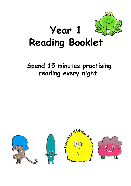

# **Spend 15 minutes practising reading every night.**

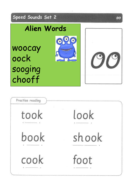

| Practise reading                                                                                                                                                                                                                                                                                                                                                                                     |       |
|------------------------------------------------------------------------------------------------------------------------------------------------------------------------------------------------------------------------------------------------------------------------------------------------------------------------------------------------------------------------------------------------------|-------|
| took<br>$\frac{1}{2} \left( \frac{1}{2} \frac{1}{2} \frac{1}{2} \frac{1}{2} \frac{1}{2} \frac{1}{2} \frac{1}{2} \frac{1}{2} \frac{1}{2} \frac{1}{2} \frac{1}{2} \frac{1}{2} \frac{1}{2} \frac{1}{2} \frac{1}{2} \frac{1}{2} \frac{1}{2} \frac{1}{2} \frac{1}{2} \frac{1}{2} \frac{1}{2} \frac{1}{2} \frac{1}{2} \frac{1}{2} \frac{1}{2} \frac{1}{2} \frac{1}{2} \frac{1}{2} \frac{1}{2} \frac{1}{2}$ | look  |
| book                                                                                                                                                                                                                                                                                                                                                                                                 | shook |
| cook                                                                                                                                                                                                                                                                                                                                                                                                 | foot  |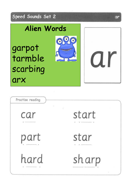

| Practise reading |       |
|------------------|-------|
| car              | start |
| part             | star  |
| hard             | sharp |

ar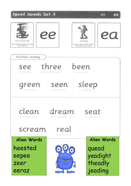





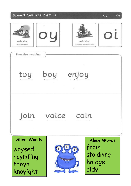оу

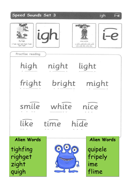fly high

2. high night light fright bright.<br>sight might

 $\dot{\iota}$ 







igh

 $\sqrt{-e}$ 

| Practise reading<br>high<br>fright<br>smile<br>like  | night<br>bright<br>white<br>time | light<br>might<br>nice<br>hide                          |
|------------------------------------------------------|----------------------------------|---------------------------------------------------------|
| Alien Words<br>tighfing<br>righget<br>zight<br>quigh | <b>SARANAAAA</b>                 | Alien Words<br>quipele<br>fripely<br>ime<br>ล่<br>flime |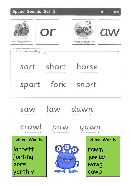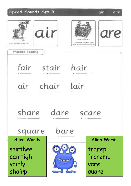air are

| alr<br>that's not fair<br>2. fair, stair, hair, air, lair, chair<br>Practise reading |                 | care and share<br>3. care share dans bare spare<br>scare, flare, square, Clare, software | are                                |
|--------------------------------------------------------------------------------------|-----------------|------------------------------------------------------------------------------------------|------------------------------------|
| fair                                                                                 | stair hair      |                                                                                          |                                    |
| air                                                                                  | chair lair      |                                                                                          |                                    |
| share<br>square                                                                      | dare<br>bare    |                                                                                          | scare                              |
| <b>Alien Words</b>                                                                   |                 |                                                                                          | Alien Words                        |
| sairthee<br>cairtigh<br>vairly<br>shairp                                             | <b>SAAMAAAA</b> | $\overline{\mathbf{z}}$                                                                  | trarep<br>fraremb<br>vare<br>quare |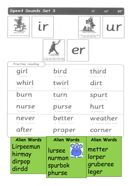|                                               | ir<br>ur<br>er                                                                                                                            |
|-----------------------------------------------|-------------------------------------------------------------------------------------------------------------------------------------------|
|                                               | ur<br>nurse with a purse.<br>3. burn, turn, luck, hurl, kurn, kurp,<br>sturp, maps, purse, hard                                           |
| er<br>a better letter                         |                                                                                                                                           |
|                                               | third                                                                                                                                     |
|                                               |                                                                                                                                           |
| twirl                                         | dirt                                                                                                                                      |
| turn                                          | spurt                                                                                                                                     |
| purse                                         | hurt                                                                                                                                      |
| better                                        | weather                                                                                                                                   |
| proper                                        | corner                                                                                                                                    |
| Alien Words                                   | <b>Alien Words</b>                                                                                                                        |
| O <sub>O</sub><br>lursee<br>nurmon<br>spurbok | metter<br>lorper<br>gruberee<br>leger                                                                                                     |
|                                               | Speed Sounds Set 3<br>$\mathsf{r}$<br>3. Ings, never, better, weather, ofter,<br>homman, litten, proper, comies, supper<br>bird<br>phurse |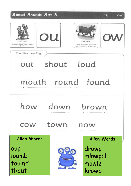

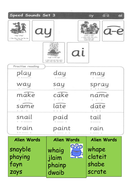| Speed Sounds Set 3<br>ay<br>may I play?<br>2. day, play, may, way. lay. tag.<br>ingg, spring |                                                                                                      | $\overline{a-e}$<br>ai<br>ay<br>$a-e$<br>make a cake<br>3. make, shake, cake, name,<br>come, gome, save.<br>brove, late, dute |
|----------------------------------------------------------------------------------------------|------------------------------------------------------------------------------------------------------|-------------------------------------------------------------------------------------------------------------------------------|
|                                                                                              | al<br>snail. In the rain<br>3. Juliel snall, tall, drain, paint,<br>Spain, chain, train, rain, stain |                                                                                                                               |
| Practise reading<br>play                                                                     | day                                                                                                  | may                                                                                                                           |
| way                                                                                          | say                                                                                                  | aц                                                                                                                            |
| make                                                                                         | cake                                                                                                 | name                                                                                                                          |
| same                                                                                         | ate                                                                                                  |                                                                                                                               |
| snail                                                                                        | paid                                                                                                 | tail                                                                                                                          |
| train                                                                                        | aint                                                                                                 | rain                                                                                                                          |
| <b>Alien Words</b>                                                                           | <b>Alien Words</b>                                                                                   | <b>Alien Words</b>                                                                                                            |
| snayble<br>phaying<br>fayn<br>zays                                                           | <b>090</b><br>whaig<br><b><i><u>France</u></i></b><br>jlaim<br>phainp<br>dwaib                       | whape<br>clateit<br>shabe<br>scrate                                                                                           |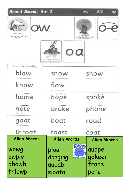| Speed Sounds Set 3                                                       |                                                                                                    | $0 - 8$<br>ow<br>oa                                                   |
|--------------------------------------------------------------------------|----------------------------------------------------------------------------------------------------|-----------------------------------------------------------------------|
| OW<br>blow the snow<br>2. blgw, sngw, signs, shgw, knigw,<br>flaw, glass |                                                                                                    | phone home<br>3. hema hepa rise spoke nool.<br>broke stole ripe thise |
|                                                                          | oa<br>goot in a boot<br>3. touri, ask, road, clask, threat,<br>raam, toam, louf, cept, coal, coach |                                                                       |
| Practise reading<br>blow                                                 | snow                                                                                               | show                                                                  |
| know                                                                     | flow                                                                                               |                                                                       |
| home                                                                     | hope                                                                                               | spoke                                                                 |
| note                                                                     | broke                                                                                              | ne                                                                    |
| oat                                                                      | boat                                                                                               | road                                                                  |
| throat                                                                   | toast                                                                                              | coat                                                                  |
| <b>Alien Words</b>                                                       | Alien Words                                                                                        | <b>Alien Words</b>                                                    |
| wowg<br>owply<br>phowb<br>thlowp                                         | 090<br>ploa<br><b>SAFEKEEP</b><br>doaging<br>quoab<br>sloatal                                      | quope<br>gokeer<br>frope<br>pote                                      |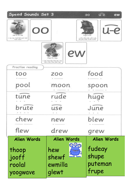| Speed Sounds Set 3                                                                          |                                                                                                | $u-e$<br>ew<br>$\circ$                                                                         |
|---------------------------------------------------------------------------------------------|------------------------------------------------------------------------------------------------|------------------------------------------------------------------------------------------------|
| ELS DRAGING<br>OO<br>pgg at the zoo<br>2. top. 200. mgod. Soil. pagl. stagl.<br>mson, spoan |                                                                                                | $u-e$<br>huge brute<br>3. tune, rude, huge, mule, britis.<br>silk juvie, dude, accuse, excuse, |
|                                                                                             | ew<br>chew the stew<br>3. new knew, flex: blew, less, crew,<br>need, young, draw, urses, stand |                                                                                                |
| Practise reading<br>too                                                                     | ZO <sub>O</sub>                                                                                | food                                                                                           |
| pool                                                                                        | moon                                                                                           | spoon                                                                                          |
| tune                                                                                        | rude                                                                                           | huge                                                                                           |
| brute                                                                                       | ise                                                                                            | June                                                                                           |
| chew                                                                                        | new                                                                                            | blew                                                                                           |
| flew                                                                                        | drew                                                                                           | grew                                                                                           |
| Alien Words                                                                                 | Alien Words                                                                                    | Alien Words                                                                                    |
| thoop<br>jooff<br>roolal<br>yoogwave                                                        | <b>090</b><br>hew<br>shewf<br>ewmilla<br>glewt                                                 | fudeay<br>shupe<br>puteman<br>frupe                                                            |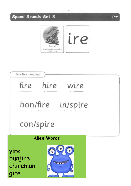



ire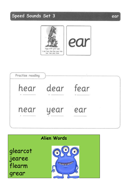





#### ear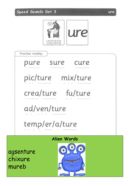

| Alien Words          |
|----------------------|
| temp/er/a/ture       |
| ad/ven/ture          |
| crea/ture fu/ture    |
| pic/ture mix/ture    |
| sure<br>pure<br>cure |
| Practise reading     |

agsenture chixure mureb



ure